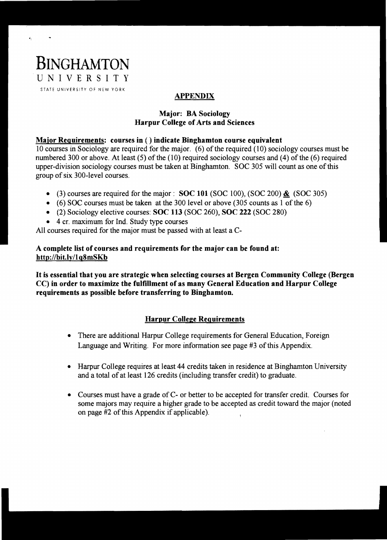

# **APPENDIX**

# Major: BA Sociology Harpur College of Arts and Sciences

# Major Requirements: courses in ( ) indicate Binghamton course equivalent

10 courses in Sociology are required for the major. (6) of the required (10) sociology courses must be numbered 300 or above. At least (5) of the (10) required sociology courses and (4) of the (6) required upper-division sociology courses must be taken at Binghamton. SOC 305 will count as one ofthis group of six 300-level courses.

- (3) courses are required for the major: SOC 101 (SOC 100), (SOC 200)  $\&$  (SOC 305)
- (6) SOC courses must be taken at the 300 level or above (305 counts as 1 of the 6)
- (2) Sociology elective courses:  $SOC 113 (SOC 260)$ ,  $SOC 222 (SOC 280)$
- 4 cr. maximum for Ind. Study type courses

All courses required for the major must be passed with at least a C-

# A complete list of courses and requirements for the major can be found at: http://bit.ly/lqSmSKb

It is essential that you are strategic when selecting courses at Bergen Community College (Bergen CC) in order to maximize the fulfillment of as many General Education and Harpur College requirements as possible before transferring to Binghamton.

# Harpur College Requirements

- There are additional Harpur College requirements for General Education, Foreign Language and Writing. For more information see page #3 of this Appendix.
- Harpur College requires at least 44 credits taken in residence at Binghamton University and a total of at least 126 credits (including transfer credit) to graduate.
- Courses must have a grade of C- or better to be accepted for transfer credit. Courses for some majors may require a higher grade to be accepted as credit toward the major (noted on page #2 of this Appendix if applicable).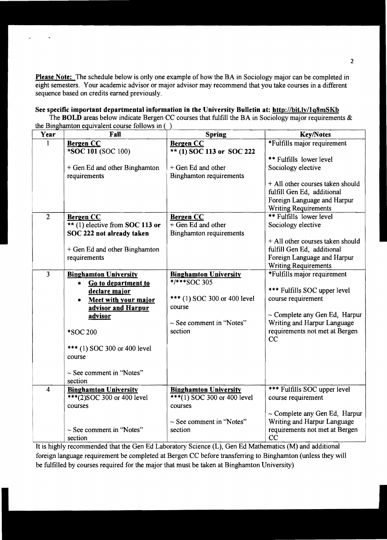Please Note: The schedule below is only one example of how the BA in Sociology major can be completed in eight semesters. Your academic advisor or major advisor may recommend that you take courses in a different sequence based on credits earned previously.

#### See specific important departmental information in the University Bulletin at: http://bit.ly/1q8mSKb

 $\ddot{\phantom{a}}$ 

The BOLD areas below indicate Bergen CC courses that fulfill the BA in Sociology major requirements  $\&$ the Binghamton equivalent course follows in ( )

| Year           | Fall                              | <b>Spring</b>                                | <b>Key/Notes</b>                   |
|----------------|-----------------------------------|----------------------------------------------|------------------------------------|
|                | <b>Bergen CC</b>                  | <b>Bergen CC</b>                             | *Fulfills major requirement        |
|                | *SOC 101 (SOC 100)                | ** (1) SOC 113 or SOC 222                    |                                    |
|                |                                   |                                              | ** Fulfills lower level            |
|                | + Gen Ed and other Binghamton     | + Gen Ed and other                           | Sociology elective                 |
|                | requirements                      | <b>Binghamton requirements</b>               |                                    |
|                |                                   |                                              | + All other courses taken should   |
|                |                                   |                                              | fulfill Gen Ed, additional         |
|                |                                   |                                              | Foreign Language and Harpur        |
|                |                                   |                                              | <b>Writing Requirements</b>        |
| $\overline{2}$ | <b>Bergen CC</b>                  | <b>Bergen CC</b>                             | ** Fulfills lower level            |
|                | ** $(1)$ elective from SOC 113 or | $\overline{+$ Gen Ed and other               | Sociology elective                 |
|                | SOC 222 not already taken         | Binghamton requirements                      |                                    |
|                |                                   |                                              | + All other courses taken should   |
|                | + Gen Ed and other Binghamton     |                                              | fulfill Gen Ed, additional         |
|                | requirements                      |                                              | Foreign Language and Harpur        |
|                |                                   |                                              | <b>Writing Requirements</b>        |
| $\overline{3}$ | <b>Binghamton University</b>      | <b>Binghamton University</b><br>*/***SOC 305 | *Fulfills major requirement        |
|                | Go to department to<br>$\bullet$  |                                              | *** Fulfills SOC upper level       |
|                | declare major                     | *** (1) SOC 300 or 400 level                 | course requirement                 |
|                | Meet with your major              | course                                       |                                    |
|                | advisor and Harpur                |                                              | $\sim$ Complete any Gen Ed, Harpur |
|                | advisor                           | $\sim$ See comment in "Notes"                | Writing and Harpur Language        |
|                | *SOC 200                          | section                                      | requirements not met at Bergen     |
|                |                                   |                                              | CC                                 |
|                | *** (1) SOC 300 or 400 level      |                                              |                                    |
|                | course                            |                                              |                                    |
|                |                                   |                                              |                                    |
|                | $\sim$ See comment in "Notes"     |                                              |                                    |
|                | section                           |                                              |                                    |
| 4              | <b>Binghamton University</b>      | <b>Binghamton University</b>                 | *** Fulfills SOC upper level       |
|                | ***(2)SOC 300 or 400 level        | $***(1)$ SOC 300 or 400 level                | course requirement                 |
|                | courses                           | courses                                      |                                    |
|                |                                   |                                              | $\sim$ Complete any Gen Ed, Harpur |
|                |                                   | $\sim$ See comment in 'Notes"                | Writing and Harpur Language        |
|                | $\sim$ See comment in "Notes"     | section                                      | requirements not met at Bergen     |
|                | section                           |                                              | CC                                 |

It is highly recommended that the Gen Ed Laboratory Science (L), Gen Ed Mathematics (M) and additional foreign language requirement be completed at Bergen CC before transferring to Binghamton (unless they will be fulfilled by courses required for the major that must be taken at Binghamton University)